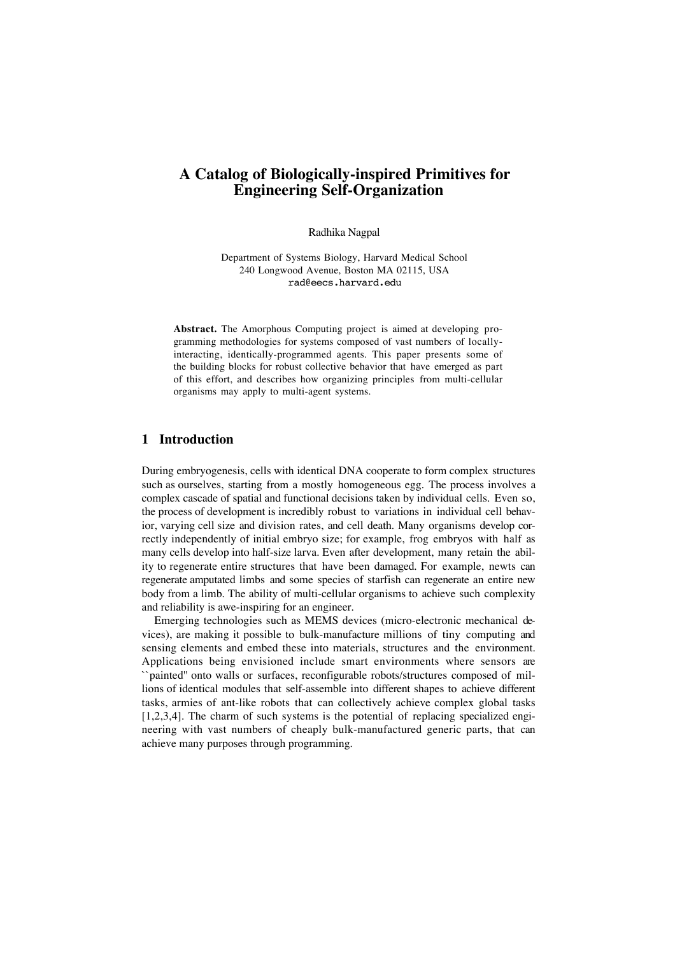# **A Catalog of Biologically-inspired Primitives for Engineering Self-Organization**

Radhika Nagpal

Department of Systems Biology, Harvard Medical School 240 Longwood Avenue, Boston MA 02115, USA rad@eecs.harvard.edu

**Abstract.** The Amorphous Computing project is aimed at developing programming methodologies for systems composed of vast numbers of locallyinteracting, identically-programmed agents. This paper presents some of the building blocks for robust collective behavior that have emerged as part of this effort, and describes how organizing principles from multi-cellular organisms may apply to multi-agent systems.

### **1 Introduction**

During embryogenesis, cells with identical DNA cooperate to form complex structures such as ourselves, starting from a mostly homogeneous egg. The process involves a complex cascade of spatial and functional decisions taken by individual cells. Even so, the process of development is incredibly robust to variations in individual cell behavior, varying cell size and division rates, and cell death. Many organisms develop correctly independently of initial embryo size; for example, frog embryos with half as many cells develop into half-size larva. Even after development, many retain the ability to regenerate entire structures that have been damaged. For example, newts can regenerate amputated limbs and some species of starfish can regenerate an entire new body from a limb. The ability of multi-cellular organisms to achieve such complexity and reliability is awe-inspiring for an engineer.

Emerging technologies such as MEMS devices (micro-electronic mechanical devices), are making it possible to bulk-manufacture millions of tiny computing and sensing elements and embed these into materials, structures and the environment. Applications being envisioned include smart environments where sensors are `painted" onto walls or surfaces, reconfigurable robots/structures composed of millions of identical modules that self-assemble into different shapes to achieve different tasks, armies of ant-like robots that can collectively achieve complex global tasks [1,2,3,4]. The charm of such systems is the potential of replacing specialized engineering with vast numbers of cheaply bulk-manufactured generic parts, that can achieve many purposes through programming.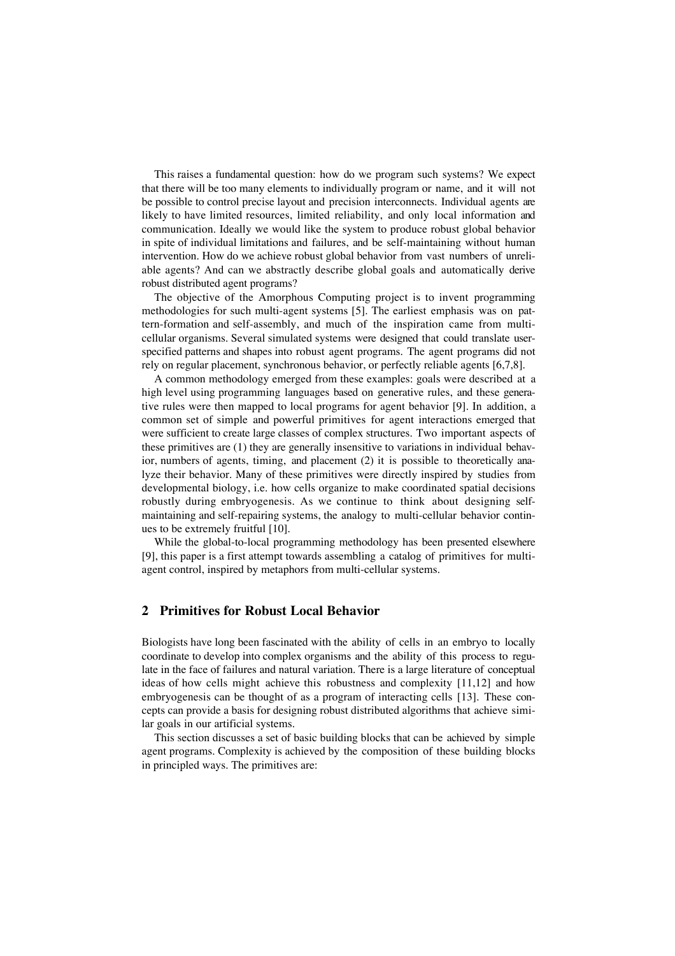This raises a fundamental question: how do we program such systems? We expect that there will be too many elements to individually program or name, and it will not be possible to control precise layout and precision interconnects. Individual agents are likely to have limited resources, limited reliability, and only local information and communication. Ideally we would like the system to produce robust global behavior in spite of individual limitations and failures, and be self-maintaining without human intervention. How do we achieve robust global behavior from vast numbers of unreliable agents? And can we abstractly describe global goals and automatically derive robust distributed agent programs?

The objective of the Amorphous Computing project is to invent programming methodologies for such multi-agent systems [5]. The earliest emphasis was on pattern-formation and self-assembly, and much of the inspiration came from multicellular organisms. Several simulated systems were designed that could translate userspecified patterns and shapes into robust agent programs. The agent programs did not rely on regular placement, synchronous behavior, or perfectly reliable agents [6,7,8].

A common methodology emerged from these examples: goals were described at a high level using programming languages based on generative rules, and these generative rules were then mapped to local programs for agent behavior [9]. In addition, a common set of simple and powerful primitives for agent interactions emerged that were sufficient to create large classes of complex structures. Two important aspects of these primitives are (1) they are generally insensitive to variations in individual behavior, numbers of agents, timing, and placement (2) it is possible to theoretically analyze their behavior. Many of these primitives were directly inspired by studies from developmental biology, i.e. how cells organize to make coordinated spatial decisions robustly during embryogenesis. As we continue to think about designing selfmaintaining and self-repairing systems, the analogy to multi-cellular behavior continues to be extremely fruitful [10].

While the global-to-local programming methodology has been presented elsewhere [9], this paper is a first attempt towards assembling a catalog of primitives for multiagent control, inspired by metaphors from multi-cellular systems.

## **2 Primitives for Robust Local Behavior**

Biologists have long been fascinated with the ability of cells in an embryo to locally coordinate to develop into complex organisms and the ability of this process to regulate in the face of failures and natural variation. There is a large literature of conceptual ideas of how cells might achieve this robustness and complexity [11,12] and how embryogenesis can be thought of as a program of interacting cells [13]. These concepts can provide a basis for designing robust distributed algorithms that achieve similar goals in our artificial systems.

This section discusses a set of basic building blocks that can be achieved by simple agent programs. Complexity is achieved by the composition of these building blocks in principled ways. The primitives are: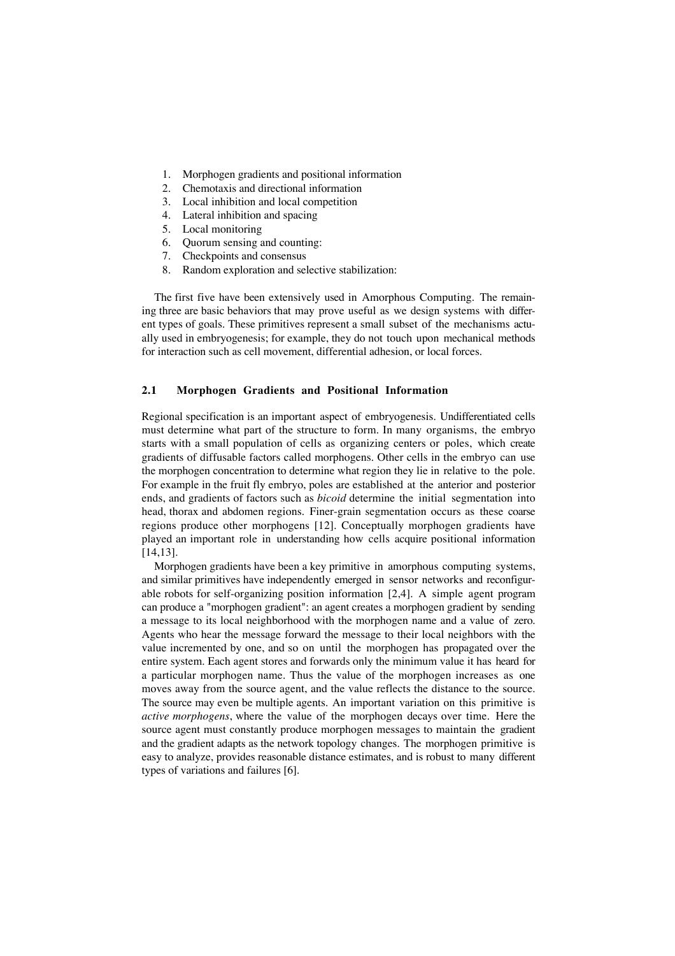- 1. Morphogen gradients and positional information
- 2. Chemotaxis and directional information
- 3. Local inhibition and local competition
- 4. Lateral inhibition and spacing
- 5. Local monitoring
- 6. Quorum sensing and counting:
- 7. Checkpoints and consensus
- 8. Random exploration and selective stabilization:

The first five have been extensively used in Amorphous Computing. The remaining three are basic behaviors that may prove useful as we design systems with different types of goals. These primitives represent a small subset of the mechanisms actually used in embryogenesis; for example, they do not touch upon mechanical methods for interaction such as cell movement, differential adhesion, or local forces.

## **2.1 Morphogen Gradients and Positional Information**

Regional specification is an important aspect of embryogenesis. Undifferentiated cells must determine what part of the structure to form. In many organisms, the embryo starts with a small population of cells as organizing centers or poles, which create gradients of diffusable factors called morphogens. Other cells in the embryo can use the morphogen concentration to determine what region they lie in relative to the pole. For example in the fruit fly embryo, poles are established at the anterior and posterior ends, and gradients of factors such as *bicoid* determine the initial segmentation into head, thorax and abdomen regions. Finer-grain segmentation occurs as these coarse regions produce other morphogens [12]. Conceptually morphogen gradients have played an important role in understanding how cells acquire positional information [14,13].

Morphogen gradients have been a key primitive in amorphous computing systems, and similar primitives have independently emerged in sensor networks and reconfigurable robots for self-organizing position information [2,4]. A simple agent program can produce a "morphogen gradient": an agent creates a morphogen gradient by sending a message to its local neighborhood with the morphogen name and a value of zero. Agents who hear the message forward the message to their local neighbors with the value incremented by one, and so on until the morphogen has propagated over the entire system. Each agent stores and forwards only the minimum value it has heard for a particular morphogen name. Thus the value of the morphogen increases as one moves away from the source agent, and the value reflects the distance to the source. The source may even be multiple agents. An important variation on this primitive is *active morphogens*, where the value of the morphogen decays over time. Here the source agent must constantly produce morphogen messages to maintain the gradient and the gradient adapts as the network topology changes. The morphogen primitive is easy to analyze, provides reasonable distance estimates, and is robust to many different types of variations and failures [6].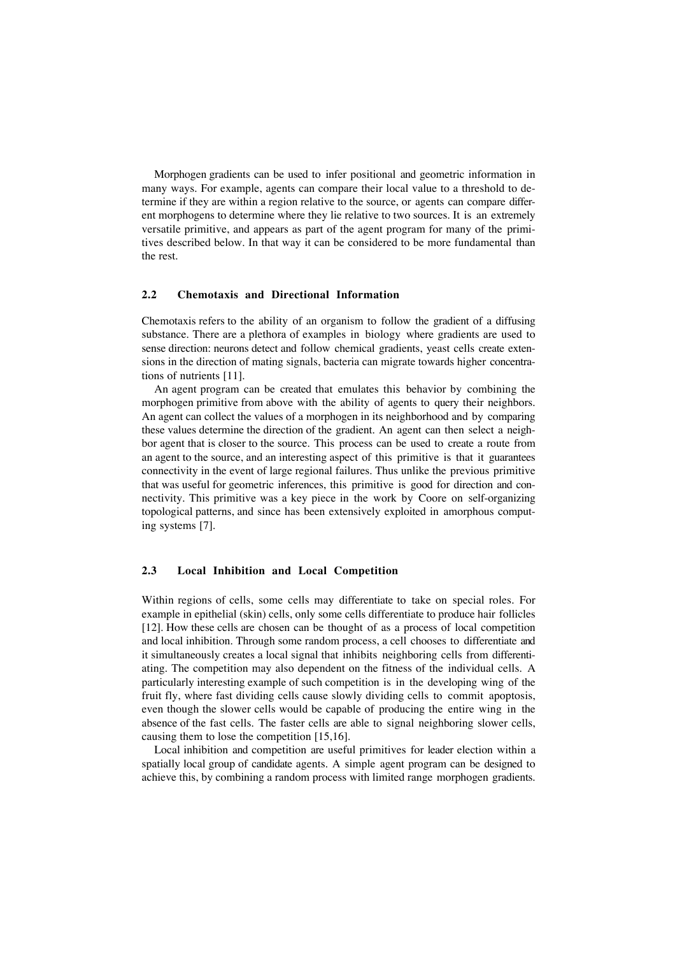Morphogen gradients can be used to infer positional and geometric information in many ways. For example, agents can compare their local value to a threshold to determine if they are within a region relative to the source, or agents can compare different morphogens to determine where they lie relative to two sources. It is an extremely versatile primitive, and appears as part of the agent program for many of the primitives described below. In that way it can be considered to be more fundamental than the rest.

#### **2.2 Chemotaxis and Directional Information**

Chemotaxis refers to the ability of an organism to follow the gradient of a diffusing substance. There are a plethora of examples in biology where gradients are used to sense direction: neurons detect and follow chemical gradients, yeast cells create extensions in the direction of mating signals, bacteria can migrate towards higher concentrations of nutrients [11].

An agent program can be created that emulates this behavior by combining the morphogen primitive from above with the ability of agents to query their neighbors. An agent can collect the values of a morphogen in its neighborhood and by comparing these values determine the direction of the gradient. An agent can then select a neighbor agent that is closer to the source. This process can be used to create a route from an agent to the source, and an interesting aspect of this primitive is that it guarantees connectivity in the event of large regional failures. Thus unlike the previous primitive that was useful for geometric inferences, this primitive is good for direction and connectivity. This primitive was a key piece in the work by Coore on self-organizing topological patterns, and since has been extensively exploited in amorphous computing systems [7].

### **2.3 Local Inhibition and Local Competition**

Within regions of cells, some cells may differentiate to take on special roles. For example in epithelial (skin) cells, only some cells differentiate to produce hair follicles [12]. How these cells are chosen can be thought of as a process of local competition and local inhibition. Through some random process, a cell chooses to differentiate and it simultaneously creates a local signal that inhibits neighboring cells from differentiating. The competition may also dependent on the fitness of the individual cells. A particularly interesting example of such competition is in the developing wing of the fruit fly, where fast dividing cells cause slowly dividing cells to commit apoptosis, even though the slower cells would be capable of producing the entire wing in the absence of the fast cells. The faster cells are able to signal neighboring slower cells, causing them to lose the competition [15,16].

Local inhibition and competition are useful primitives for leader election within a spatially local group of candidate agents. A simple agent program can be designed to achieve this, by combining a random process with limited range morphogen gradients.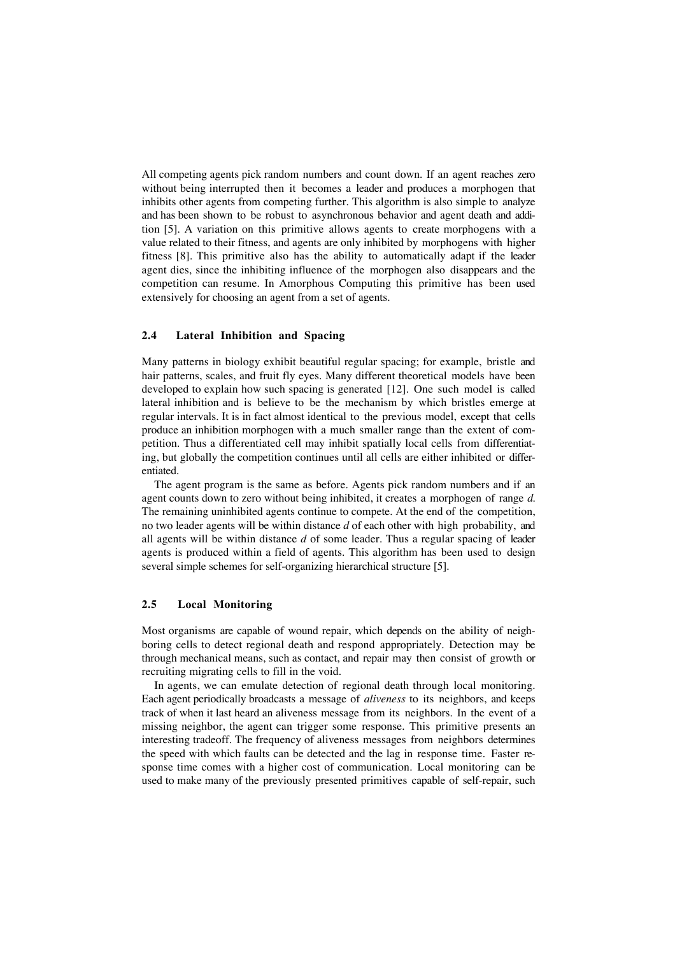All competing agents pick random numbers and count down. If an agent reaches zero without being interrupted then it becomes a leader and produces a morphogen that inhibits other agents from competing further. This algorithm is also simple to analyze and has been shown to be robust to asynchronous behavior and agent death and addition [5]. A variation on this primitive allows agents to create morphogens with a value related to their fitness, and agents are only inhibited by morphogens with higher fitness [8]. This primitive also has the ability to automatically adapt if the leader agent dies, since the inhibiting influence of the morphogen also disappears and the competition can resume. In Amorphous Computing this primitive has been used extensively for choosing an agent from a set of agents.

## **2.4 Lateral Inhibition and Spacing**

Many patterns in biology exhibit beautiful regular spacing; for example, bristle and hair patterns, scales, and fruit fly eyes. Many different theoretical models have been developed to explain how such spacing is generated [12]. One such model is called lateral inhibition and is believe to be the mechanism by which bristles emerge at regular intervals. It is in fact almost identical to the previous model, except that cells produce an inhibition morphogen with a much smaller range than the extent of competition. Thus a differentiated cell may inhibit spatially local cells from differentiating, but globally the competition continues until all cells are either inhibited or differentiated.

The agent program is the same as before. Agents pick random numbers and if an agent counts down to zero without being inhibited, it creates a morphogen of range *d*. The remaining uninhibited agents continue to compete. At the end of the competition, no two leader agents will be within distance *d* of each other with high probability, and all agents will be within distance *d* of some leader. Thus a regular spacing of leader agents is produced within a field of agents. This algorithm has been used to design several simple schemes for self-organizing hierarchical structure [5].

### **2.5 Local Monitoring**

Most organisms are capable of wound repair, which depends on the ability of neighboring cells to detect regional death and respond appropriately. Detection may be through mechanical means, such as contact, and repair may then consist of growth or recruiting migrating cells to fill in the void.

In agents, we can emulate detection of regional death through local monitoring. Each agent periodically broadcasts a message of *aliveness* to its neighbors, and keeps track of when it last heard an aliveness message from its neighbors. In the event of a missing neighbor, the agent can trigger some response. This primitive presents an interesting tradeoff. The frequency of aliveness messages from neighbors determines the speed with which faults can be detected and the lag in response time. Faster response time comes with a higher cost of communication. Local monitoring can be used to make many of the previously presented primitives capable of self-repair, such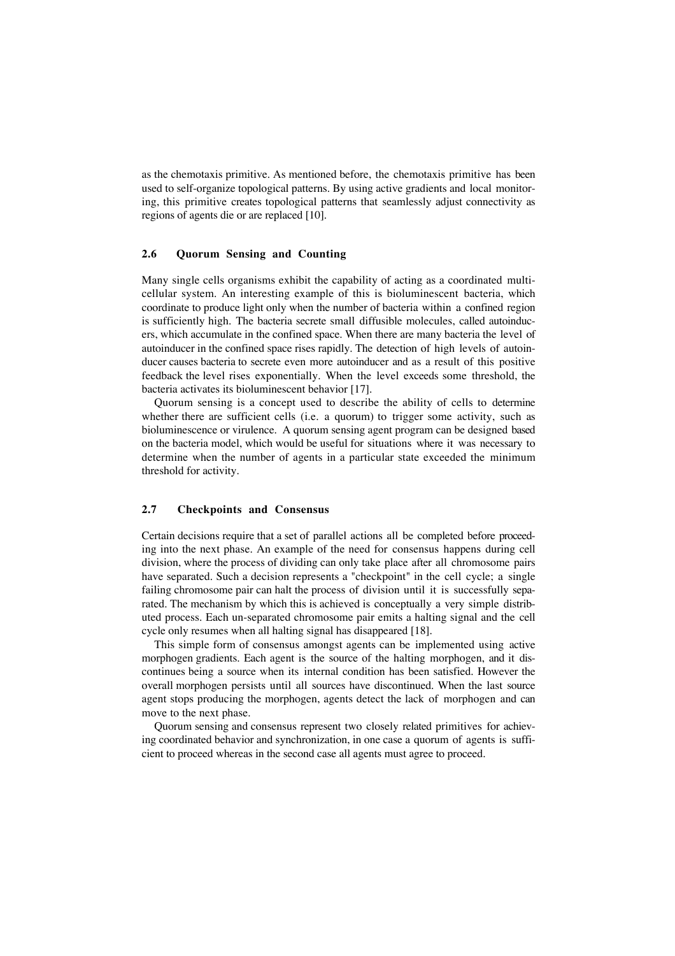as the chemotaxis primitive. As mentioned before, the chemotaxis primitive has been used to self-organize topological patterns. By using active gradients and local monitoring, this primitive creates topological patterns that seamlessly adjust connectivity as regions of agents die or are replaced [10].

### **2.6 Quorum Sensing and Counting**

Many single cells organisms exhibit the capability of acting as a coordinated multicellular system. An interesting example of this is bioluminescent bacteria, which coordinate to produce light only when the number of bacteria within a confined region is sufficiently high. The bacteria secrete small diffusible molecules, called autoinducers, which accumulate in the confined space. When there are many bacteria the level of autoinducer in the confined space rises rapidly. The detection of high levels of autoinducer causes bacteria to secrete even more autoinducer and as a result of this positive feedback the level rises exponentially. When the level exceeds some threshold, the bacteria activates its bioluminescent behavior [17].

Quorum sensing is a concept used to describe the ability of cells to determine whether there are sufficient cells (i.e. a quorum) to trigger some activity, such as bioluminescence or virulence. A quorum sensing agent program can be designed based on the bacteria model, which would be useful for situations where it was necessary to determine when the number of agents in a particular state exceeded the minimum threshold for activity.

## **2.7 Checkpoints and Consensus**

Certain decisions require that a set of parallel actions all be completed before proceeding into the next phase. An example of the need for consensus happens during cell division, where the process of dividing can only take place after all chromosome pairs have separated. Such a decision represents a "checkpoint" in the cell cycle; a single failing chromosome pair can halt the process of division until it is successfully separated. The mechanism by which this is achieved is conceptually a very simple distributed process. Each un-separated chromosome pair emits a halting signal and the cell cycle only resumes when all halting signal has disappeared [18].

This simple form of consensus amongst agents can be implemented using active morphogen gradients. Each agent is the source of the halting morphogen, and it discontinues being a source when its internal condition has been satisfied. However the overall morphogen persists until all sources have discontinued. When the last source agent stops producing the morphogen, agents detect the lack of morphogen and can move to the next phase.

Quorum sensing and consensus represent two closely related primitives for achieving coordinated behavior and synchronization, in one case a quorum of agents is sufficient to proceed whereas in the second case all agents must agree to proceed.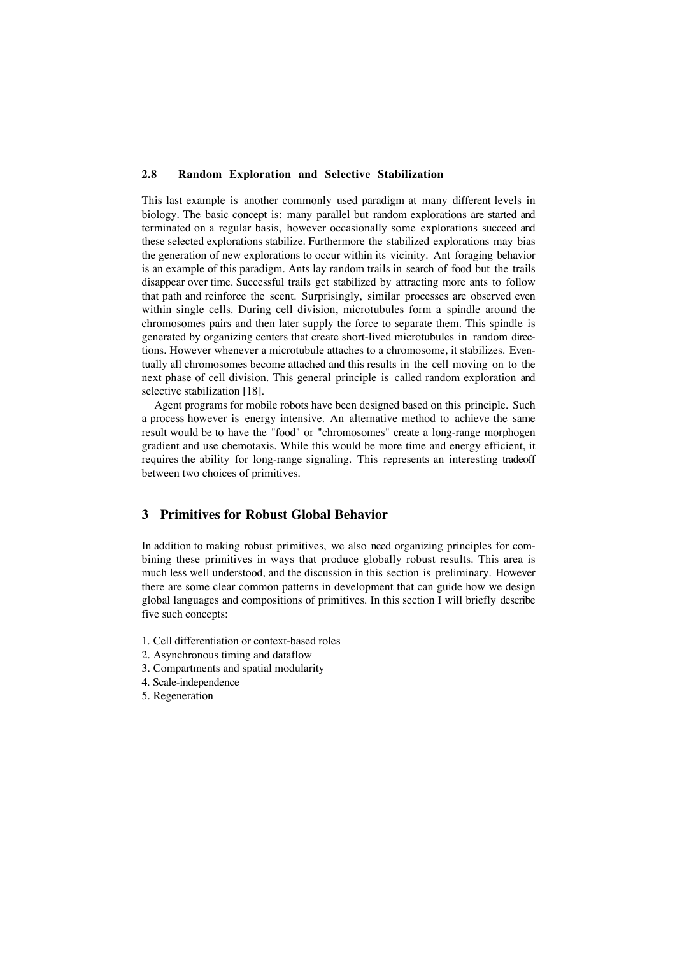### **2.8 Random Exploration and Selective Stabilization**

This last example is another commonly used paradigm at many different levels in biology. The basic concept is: many parallel but random explorations are started and terminated on a regular basis, however occasionally some explorations succeed and these selected explorations stabilize. Furthermore the stabilized explorations may bias the generation of new explorations to occur within its vicinity. Ant foraging behavior is an example of this paradigm. Ants lay random trails in search of food but the trails disappear over time. Successful trails get stabilized by attracting more ants to follow that path and reinforce the scent. Surprisingly, similar processes are observed even within single cells. During cell division, microtubules form a spindle around the chromosomes pairs and then later supply the force to separate them. This spindle is generated by organizing centers that create short-lived microtubules in random directions. However whenever a microtubule attaches to a chromosome, it stabilizes. Eventually all chromosomes become attached and this results in the cell moving on to the next phase of cell division. This general principle is called random exploration and selective stabilization [18].

Agent programs for mobile robots have been designed based on this principle. Such a process however is energy intensive. An alternative method to achieve the same result would be to have the "food" or "chromosomes" create a long-range morphogen gradient and use chemotaxis. While this would be more time and energy efficient, it requires the ability for long-range signaling. This represents an interesting tradeoff between two choices of primitives.

## **3 Primitives for Robust Global Behavior**

In addition to making robust primitives, we also need organizing principles for combining these primitives in ways that produce globally robust results. This area is much less well understood, and the discussion in this section is preliminary. However there are some clear common patterns in development that can guide how we design global languages and compositions of primitives. In this section I will briefly describe five such concepts:

- 1. Cell differentiation or context-based roles
- 2. Asynchronous timing and dataflow
- 3. Compartments and spatial modularity
- 4. Scale-independence
- 5. Regeneration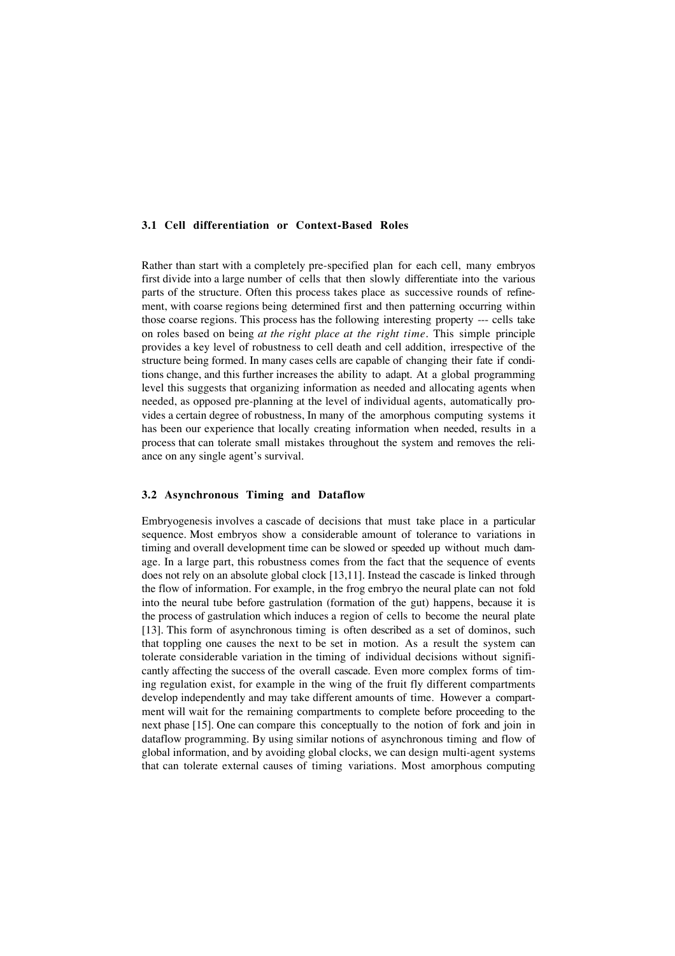#### **3.1 Cell differentiation or Context-Based Roles**

Rather than start with a completely pre-specified plan for each cell, many embryos first divide into a large number of cells that then slowly differentiate into the various parts of the structure. Often this process takes place as successive rounds of refinement, with coarse regions being determined first and then patterning occurring within those coarse regions. This process has the following interesting property --- cells take on roles based on being *at the right place at the right time*. This simple principle provides a key level of robustness to cell death and cell addition, irrespective of the structure being formed. In many cases cells are capable of changing their fate if conditions change, and this further increases the ability to adapt. At a global programming level this suggests that organizing information as needed and allocating agents when needed, as opposed pre-planning at the level of individual agents, automatically provides a certain degree of robustness, In many of the amorphous computing systems it has been our experience that locally creating information when needed, results in a process that can tolerate small mistakes throughout the system and removes the reliance on any single agent's survival.

#### **3.2 Asynchronous Timing and Dataflow**

Embryogenesis involves a cascade of decisions that must take place in a particular sequence. Most embryos show a considerable amount of tolerance to variations in timing and overall development time can be slowed or speeded up without much damage. In a large part, this robustness comes from the fact that the sequence of events does not rely on an absolute global clock [13,11]. Instead the cascade is linked through the flow of information. For example, in the frog embryo the neural plate can not fold into the neural tube before gastrulation (formation of the gut) happens, because it is the process of gastrulation which induces a region of cells to become the neural plate [13]. This form of asynchronous timing is often described as a set of dominos, such that toppling one causes the next to be set in motion. As a result the system can tolerate considerable variation in the timing of individual decisions without significantly affecting the success of the overall cascade. Even more complex forms of timing regulation exist, for example in the wing of the fruit fly different compartments develop independently and may take different amounts of time. However a compartment will wait for the remaining compartments to complete before proceeding to the next phase [15]. One can compare this conceptually to the notion of fork and join in dataflow programming. By using similar notions of asynchronous timing and flow of global information, and by avoiding global clocks, we can design multi-agent systems that can tolerate external causes of timing variations. Most amorphous computing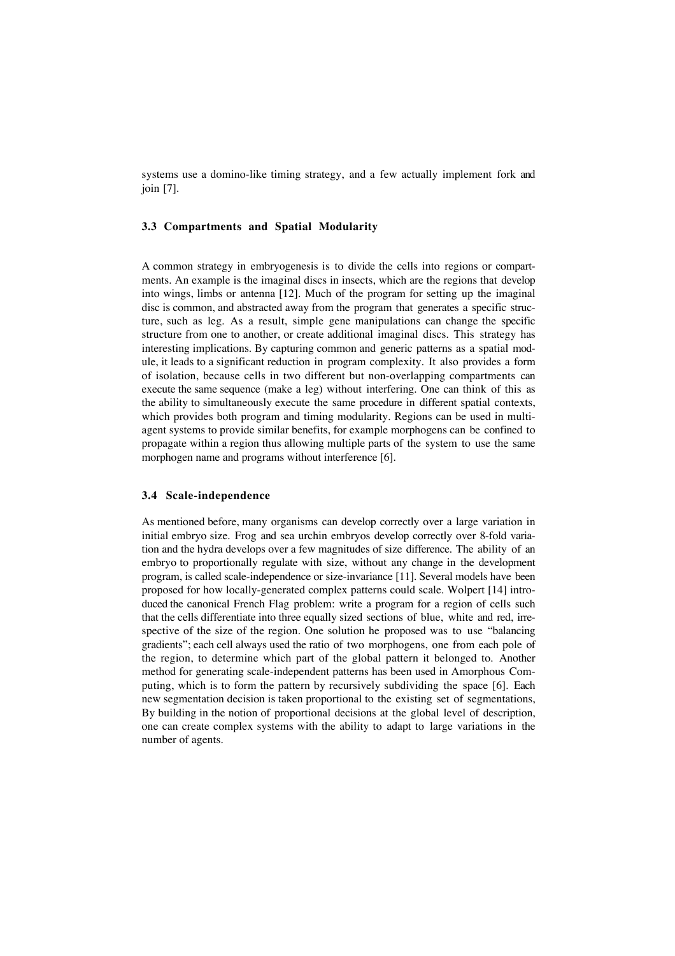systems use a domino-like timing strategy, and a few actually implement fork and join [7].

#### **3.3 Compartments and Spatial Modularity**

A common strategy in embryogenesis is to divide the cells into regions or compartments. An example is the imaginal discs in insects, which are the regions that develop into wings, limbs or antenna [12]. Much of the program for setting up the imaginal disc is common, and abstracted away from the program that generates a specific structure, such as leg. As a result, simple gene manipulations can change the specific structure from one to another, or create additional imaginal discs. This strategy has interesting implications. By capturing common and generic patterns as a spatial module, it leads to a significant reduction in program complexity. It also provides a form of isolation, because cells in two different but non-overlapping compartments can execute the same sequence (make a leg) without interfering. One can think of this as the ability to simultaneously execute the same procedure in different spatial contexts, which provides both program and timing modularity. Regions can be used in multiagent systems to provide similar benefits, for example morphogens can be confined to propagate within a region thus allowing multiple parts of the system to use the same morphogen name and programs without interference [6].

#### **3.4 Scale-independence**

As mentioned before, many organisms can develop correctly over a large variation in initial embryo size. Frog and sea urchin embryos develop correctly over 8-fold variation and the hydra develops over a few magnitudes of size difference. The ability of an embryo to proportionally regulate with size, without any change in the development program, is called scale-independence or size-invariance [11]. Several models have been proposed for how locally-generated complex patterns could scale. Wolpert [14] introduced the canonical French Flag problem: write a program for a region of cells such that the cells differentiate into three equally sized sections of blue, white and red, irrespective of the size of the region. One solution he proposed was to use "balancing gradients"; each cell always used the ratio of two morphogens, one from each pole of the region, to determine which part of the global pattern it belonged to. Another method for generating scale-independent patterns has been used in Amorphous Computing, which is to form the pattern by recursively subdividing the space [6]. Each new segmentation decision is taken proportional to the existing set of segmentations, By building in the notion of proportional decisions at the global level of description, one can create complex systems with the ability to adapt to large variations in the number of agents.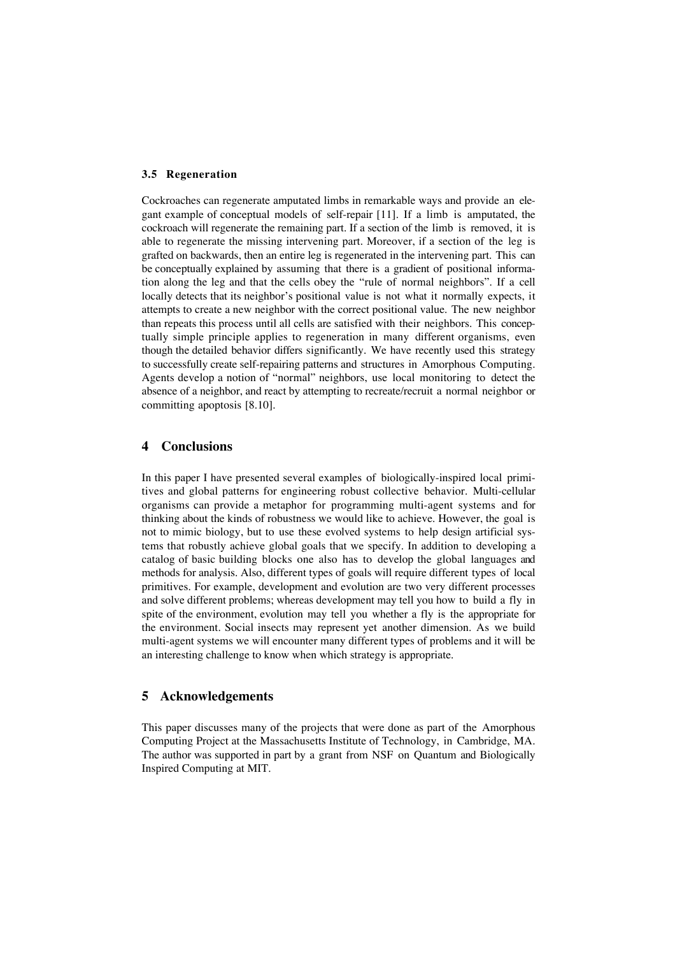#### **3.5 Regeneration**

Cockroaches can regenerate amputated limbs in remarkable ways and provide an elegant example of conceptual models of self-repair [11]. If a limb is amputated, the cockroach will regenerate the remaining part. If a section of the limb is removed, it is able to regenerate the missing intervening part. Moreover, if a section of the leg is grafted on backwards, then an entire leg is regenerated in the intervening part. This can be conceptually explained by assuming that there is a gradient of positional information along the leg and that the cells obey the "rule of normal neighbors". If a cell locally detects that its neighbor's positional value is not what it normally expects, it attempts to create a new neighbor with the correct positional value. The new neighbor than repeats this process until all cells are satisfied with their neighbors. This conceptually simple principle applies to regeneration in many different organisms, even though the detailed behavior differs significantly. We have recently used this strategy to successfully create self-repairing patterns and structures in Amorphous Computing. Agents develop a notion of "normal" neighbors, use local monitoring to detect the absence of a neighbor, and react by attempting to recreate/recruit a normal neighbor or committing apoptosis [8.10].

### **4 Conclusions**

In this paper I have presented several examples of biologically-inspired local primitives and global patterns for engineering robust collective behavior. Multi-cellular organisms can provide a metaphor for programming multi-agent systems and for thinking about the kinds of robustness we would like to achieve. However, the goal is not to mimic biology, but to use these evolved systems to help design artificial systems that robustly achieve global goals that we specify. In addition to developing a catalog of basic building blocks one also has to develop the global languages and methods for analysis. Also, different types of goals will require different types of local primitives. For example, development and evolution are two very different processes and solve different problems; whereas development may tell you how to build a fly in spite of the environment, evolution may tell you whether a fly is the appropriate for the environment. Social insects may represent yet another dimension. As we build multi-agent systems we will encounter many different types of problems and it will be an interesting challenge to know when which strategy is appropriate.

## **5 Acknowledgements**

This paper discusses many of the projects that were done as part of the Amorphous Computing Project at the Massachusetts Institute of Technology, in Cambridge, MA. The author was supported in part by a grant from NSF on Quantum and Biologically Inspired Computing at MIT.